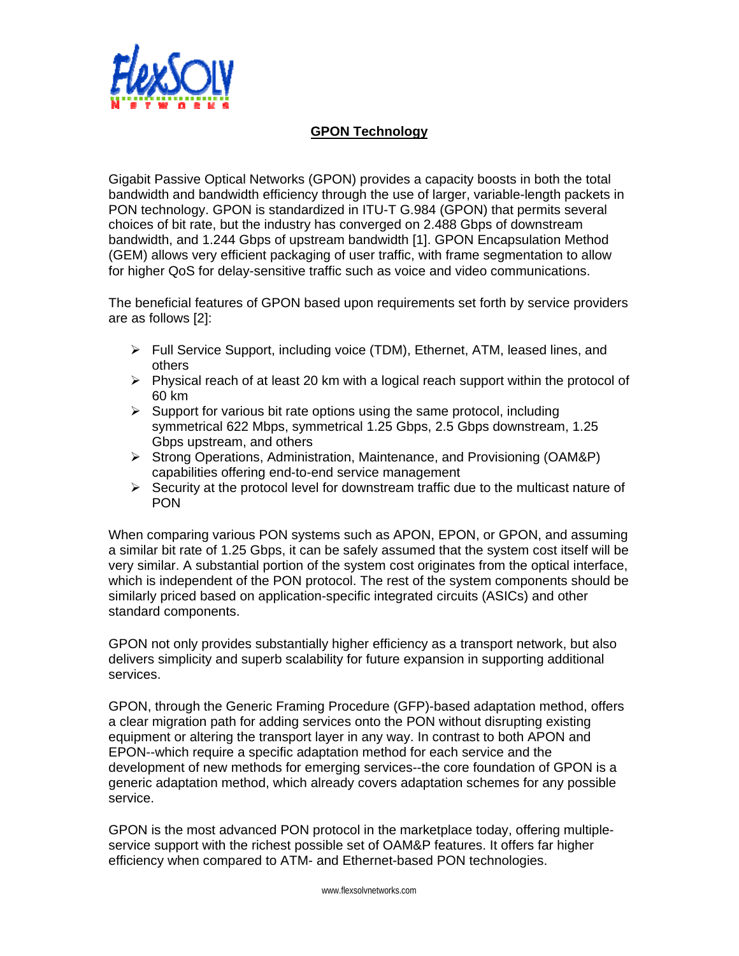

## **GPON Technology**

Gigabit Passive Optical Networks (GPON) provides a capacity boosts in both the total bandwidth and bandwidth efficiency through the use of larger, variable-length packets in PON technology. GPON is standardized in ITU-T G.984 (GPON) that permits several choices of bit rate, but the industry has converged on 2.488 Gbps of downstream bandwidth, and 1.244 Gbps of upstream bandwidth [1]. GPON Encapsulation Method (GEM) allows very efficient packaging of user traffic, with frame segmentation to allow for higher QoS for delay-sensitive traffic such as voice and video communications.

The beneficial features of GPON based upon requirements set forth by service providers are as follows [2]:

- ¾ Full Service Support, including voice (TDM), Ethernet, ATM, leased lines, and others
- $\triangleright$  Physical reach of at least 20 km with a logical reach support within the protocol of 60 km
- $\triangleright$  Support for various bit rate options using the same protocol, including symmetrical 622 Mbps, symmetrical 1.25 Gbps, 2.5 Gbps downstream, 1.25 Gbps upstream, and others
- ¾ Strong Operations, Administration, Maintenance, and Provisioning (OAM&P) capabilities offering end-to-end service management
- $\triangleright$  Security at the protocol level for downstream traffic due to the multicast nature of PON

When comparing various PON systems such as APON, EPON, or GPON, and assuming a similar bit rate of 1.25 Gbps, it can be safely assumed that the system cost itself will be very similar. A substantial portion of the system cost originates from the optical interface, which is independent of the PON protocol. The rest of the system components should be similarly priced based on application-specific integrated circuits (ASICs) and other standard components.

GPON not only provides substantially higher efficiency as a transport network, but also delivers simplicity and superb scalability for future expansion in supporting additional services.

GPON, through the Generic Framing Procedure (GFP)-based adaptation method, offers a clear migration path for adding services onto the PON without disrupting existing equipment or altering the transport layer in any way. In contrast to both APON and EPON--which require a specific adaptation method for each service and the development of new methods for emerging services--the core foundation of GPON is a generic adaptation method, which already covers adaptation schemes for any possible service.

GPON is the most advanced PON protocol in the marketplace today, offering multipleservice support with the richest possible set of OAM&P features. It offers far higher efficiency when compared to ATM- and Ethernet-based PON technologies.